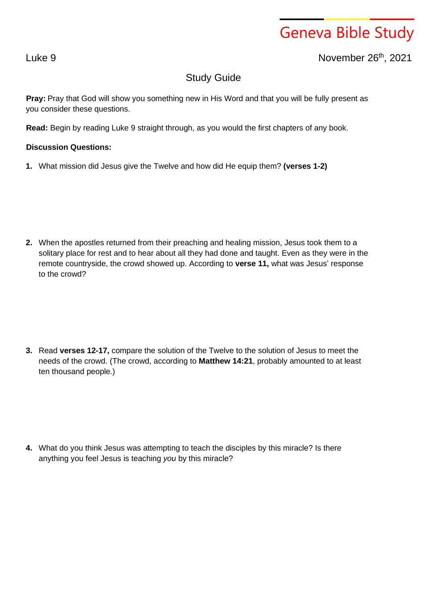## Geneva Bible Study

Luke 9 November 26th , 2021

## Study Guide

**Pray:** Pray that God will show you something new in His Word and that you will be fully present as you consider these questions.

**Read:** Begin by reading Luke 9 straight through, as you would the first chapters of any book.

## **Discussion Questions:**

**1.** What mission did Jesus give the Twelve and how did He equip them? **(verses 1-2)**

**2.** When the apostles returned from their preaching and healing mission, Jesus took them to a solitary place for rest and to hear about all they had done and taught. Even as they were in the remote countryside, the crowd showed up. According to **verse 11,** what was Jesus' response to the crowd?

**3.** Read **verses 12-17,** compare the solution of the Twelve to the solution of Jesus to meet the needs of the crowd. (The crowd, according to **Matthew 14:21**, probably amounted to at least ten thousand people.)

**4.** What do you think Jesus was attempting to teach the disciples by this miracle? Is there anything you feel Jesus is teaching *you* by this miracle?